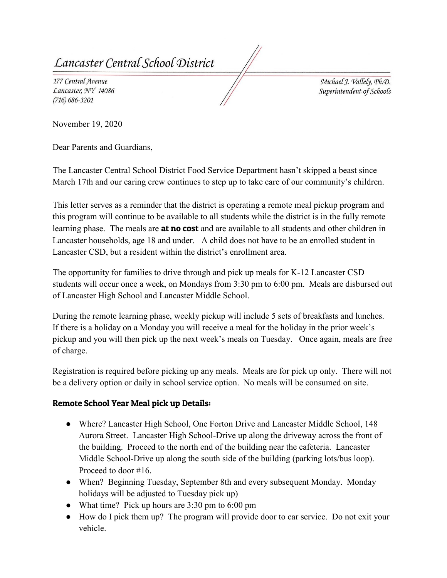*Centra[ Sclioo[ (J)istrict* 

177 Central Avenue *Lancaster, ¾'Y 14086 (716) 686-3201* 

 $Michael J.$   $Vallet$ ,  $Ph.D.$  $Superintendent$  *of Schools* 

November 19, 2020

Dear Parents and Guardians,

The Lancaster Central School District Food Service Department hasn't skipped a beast since March 17th and our caring crew continues to step up to take care of our community's children.

This letter serves as a reminder that the district is operating a remote meal pickup program and this program will continue to be available to all students while the district is in the fully remote learning phase. The meals are **at no cost** and are available to all students and other children in Lancaster households, age 18 and under. A child does not have to be an enrolled student in Lancaster CSD, but a resident within the district's enrollment area.

The opportunity for families to drive through and pick up meals for K-12 Lancaster CSD students will occur once a week, on Mondays from 3:30 pm to 6:00 pm. Meals are disbursed out of Lancaster High School and Lancaster Middle School.

During the remote learning phase, weekly pickup will include 5 sets of breakfasts and lunches. If there is a holiday on a Monday you will receive a meal for the holiday in the prior week's pickup and you will then pick up the next week's meals on Tuesday. Once again, meals are free of charge.

Registration is required before picking up any meals. Meals are for pick up only. There will not be a delivery option or daily in school service option. No meals will be consumed on site.

## Remote School Year Meal pick up Details:

- Where? Lancaster High School, One Forton Drive and Lancaster Middle School, 148 Aurora Street. Lancaster High School-Drive up along the driveway across the front of the building. Proceed to the north end of the building near the cafeteria. Lancaster Middle School-Drive up along the south side of the building (parking lots/bus loop). Proceed to door #16.
- When? Beginning Tuesday, September 8th and every subsequent Monday. Monday holidays will be adjusted to Tuesday pick up)
- What time? Pick up hours are 3:30 pm to 6:00 pm
- ● How do I pick them up? The program will provide door to car service. Do not exit your vehicle.